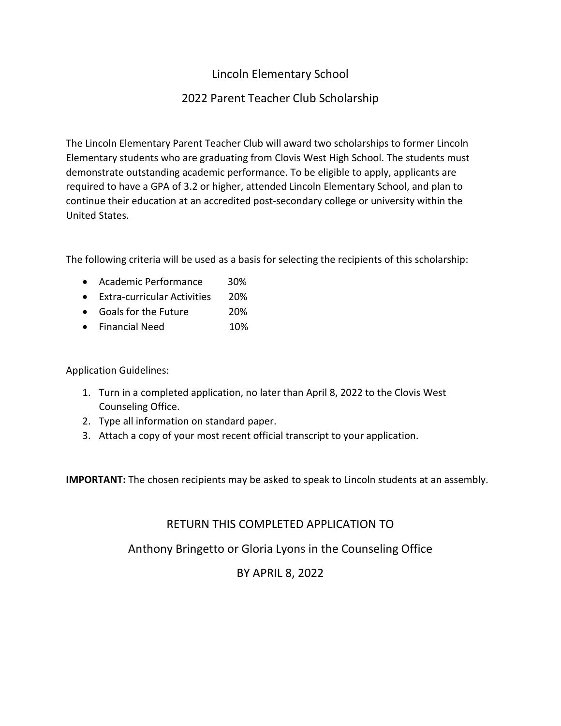# Lincoln Elementary School

## 2022 Parent Teacher Club Scholarship

The Lincoln Elementary Parent Teacher Club will award two scholarships to former Lincoln Elementary students who are graduating from Clovis West High School. The students must demonstrate outstanding academic performance. To be eligible to apply, applicants are required to have a GPA of 3.2 or higher, attended Lincoln Elementary School, and plan to continue their education at an accredited post-secondary college or university within the United States.

The following criteria will be used as a basis for selecting the recipients of this scholarship:

- Academic Performance 30%
- Extra-curricular Activities 20%
- Goals for the Future 20%
- Financial Need 10%

Application Guidelines:

- 1. Turn in a completed application, no later than April 8, 2022 to the Clovis West Counseling Office.
- 2. Type all information on standard paper.
- 3. Attach a copy of your most recent official transcript to your application.

**IMPORTANT:** The chosen recipients may be asked to speak to Lincoln students at an assembly.

### RETURN THIS COMPLETED APPLICATION TO

Anthony Bringetto or Gloria Lyons in the Counseling Office

## BY APRIL 8, 2022